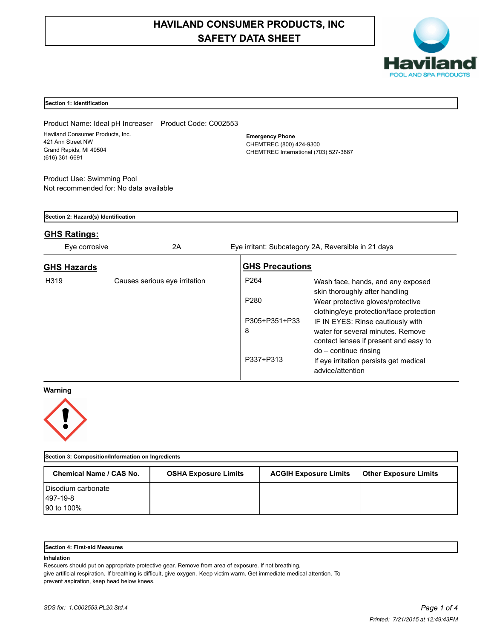# **HAVILAND CONSUMER PRODUCTS, INC SAFETY DATA SHEET**



#### **Section 1: Identification**

Product Name: Ideal pH Increaser Product Code: C002553 Haviland Consumer Products, Inc. 421 Ann Street NW Grand Rapids, MI 49504 (616) 361-6691

**Emergency Phone** CHEMTREC (800) 424-9300 CHEMTREC International (703) 527-3887

Product Use: Swimming Pool Not recommended for: No data available

| Section 2: Hazard(s) Identification<br><b>GHS Ratings:</b> |                               |                        |                                                                                                                 |  |  |  |  |
|------------------------------------------------------------|-------------------------------|------------------------|-----------------------------------------------------------------------------------------------------------------|--|--|--|--|
|                                                            |                               |                        |                                                                                                                 |  |  |  |  |
| <b>GHS Hazards</b>                                         |                               | <b>GHS Precautions</b> |                                                                                                                 |  |  |  |  |
| H319                                                       | Causes serious eve irritation | P <sub>264</sub>       | Wash face, hands, and any exposed<br>skin thoroughly after handling                                             |  |  |  |  |
|                                                            |                               | P <sub>280</sub>       | Wear protective gloves/protective<br>clothing/eye protection/face protection                                    |  |  |  |  |
|                                                            |                               | P305+P351+P33<br>8     | IF IN EYES: Rinse cautiously with<br>water for several minutes. Remove<br>contact lenses if present and easy to |  |  |  |  |
|                                                            |                               | P337+P313              | $do$ – continue rinsing<br>If eye irritation persists get medical<br>advice/attention                           |  |  |  |  |

#### **Warning**



| Section 3: Composition/Information on Ingredients |                             |                              |                              |  |  |  |  |
|---------------------------------------------------|-----------------------------|------------------------------|------------------------------|--|--|--|--|
| <b>Chemical Name / CAS No.</b>                    | <b>OSHA Exposure Limits</b> | <b>ACGIH Exposure Limits</b> | <b>Other Exposure Limits</b> |  |  |  |  |
| Disodium carbonate                                |                             |                              |                              |  |  |  |  |
| <b>497-19-8</b>                                   |                             |                              |                              |  |  |  |  |
| 90 to 100%                                        |                             |                              |                              |  |  |  |  |

#### **Section 4: First-aid Measures**

#### **Inhalation**

Rescuers should put on appropriate protective gear. Remove from area of exposure. If not breathing, give artificial respiration. If breathing is difficult, give oxygen. Keep victim warm. Get immediate medical attention. To prevent aspiration, keep head below knees.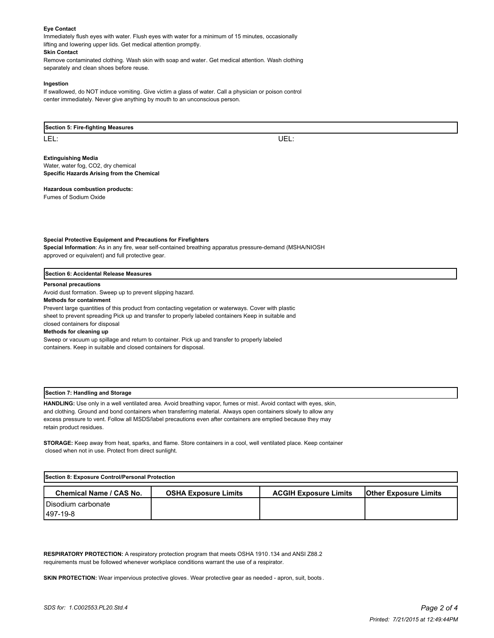#### **Eye Contact**

Immediately flush eyes with water. Flush eyes with water for a minimum of 15 minutes, occasionally lifting and lowering upper lids. Get medical attention promptly.

#### **Skin Contact**

Remove contaminated clothing. Wash skin with soap and water. Get medical attention. Wash clothing separately and clean shoes before reuse.

#### **Ingestion**

If swallowed, do NOT induce vomiting. Give victim a glass of water. Call a physician or poison control center immediately. Never give anything by mouth to an unconscious person.

**Section 5: Fire-fighting Measures**

LEL: UEL:

#### **Extinguishing Media**

Water, water fog, CO2, dry chemical **Specific Hazards Arising from the Chemical**

#### **Hazardous combustion products:**

Fumes of Sodium Oxide

#### **Special Protective Equipment and Precautions for Firefighters**

**Special Information**: As in any fire, wear self-contained breathing apparatus pressure-demand (MSHA/NIOSH approved or equivalent) and full protective gear.

#### **Section 6: Accidental Release Measures**

#### **Personal precautions**

Avoid dust formation. Sweep up to prevent slipping hazard.

#### **Methods for containment**

Prevent large quantities of this product from contacting vegetation or waterways. Cover with plastic sheet to prevent spreading Pick up and transfer to properly labeled containers Keep in suitable and closed containers for disposal

# **Methods for cleaning up**

Sweep or vacuum up spillage and return to container. Pick up and transfer to properly labeled containers. Keep in suitable and closed containers for disposal.

#### **Section 7: Handling and Storage**

**HANDLING:** Use only in a well ventilated area. Avoid breathing vapor, fumes or mist. Avoid contact with eyes, skin, and clothing. Ground and bond containers when transferring material. Always open containers slowly to allow any excess pressure to vent. Follow all MSDS/label precautions even after containers are emptied because they may retain product residues.

**STORAGE:** Keep away from heat, sparks, and flame. Store containers in a cool, well ventilated place. Keep container closed when not in use. Protect from direct sunlight.

| Section 8: Exposure Control/Personal Protection |                             |                              |                              |  |  |  |  |
|-------------------------------------------------|-----------------------------|------------------------------|------------------------------|--|--|--|--|
| <b>Chemical Name / CAS No.</b>                  | <b>OSHA Exposure Limits</b> | <b>ACGIH Exposure Limits</b> | <b>Other Exposure Limits</b> |  |  |  |  |
| Disodium carbonate                              |                             |                              |                              |  |  |  |  |
| 1497-19-8                                       |                             |                              |                              |  |  |  |  |

**RESPIRATORY PROTECTION:** A respiratory protection program that meets OSHA 1910.134 and ANSI Z88.2 requirements must be followed whenever workplace conditions warrant the use of a respirator.

**SKIN PROTECTION:** Wear impervious protective gloves. Wear protective gear as needed - apron, suit, boots .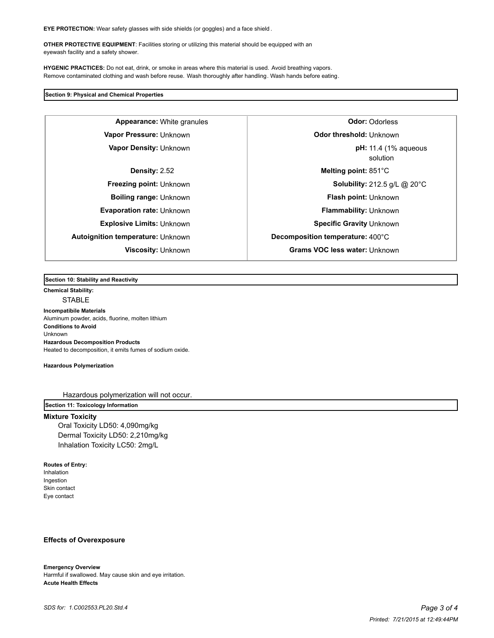**EYE PROTECTION:** Wear safety glasses with side shields (or goggles) and a face shield .

**OTHER PROTECTIVE EQUIPMENT**: Facilities storing or utilizing this material should be equipped with an eyewash facility and a safety shower.

**HYGENIC PRACTICES:** Do not eat, drink, or smoke in areas where this material is used. Avoid breathing vapors. Remove contaminated clothing and wash before reuse. Wash thoroughly after handling. Wash hands before eating.

#### **Section 9: Physical and Chemical Properties**

**Vapor Density: Unknown** 

#### **Section 10: Stability and Reactivity**

# **Chemical Stability:**

**STABLE** 

#### **Incompatibile Materials**

Aluminum powder, acids, fluorine, molten lithium **Conditions to Avoid** Unknown **Hazardous Decomposition Products** Heated to decomposition, it emits fumes of sodium oxide.

#### **Hazardous Polymerization**

Hazardous polymerization will not occur.

## **Section 11: Toxicology Information**

#### **Mixture Toxicity**

Oral Toxicity LD50: 4,090mg/kg Dermal Toxicity LD50: 2,210mg/kg Inhalation Toxicity LC50: 2mg/L

#### **Routes of Entry:**

Inhalation Ingestion Skin contact Eye contact

#### **Effects of Overexposure**

#### **Emergency Overview**

Harmful if swallowed. May cause skin and eye irritation. **Acute Health Effects**

**Appearance:** White granules **Odor:** Odorless **Vapor Pressure:** Unknown **Discussed Pressure:** Unknown solution **pH:** 11.4 (1% aqueous **Density:** 2.52 **Melting point:** 851°C **Freezing point:** Unknown **Solubility:** 212.5 g/L @ 20°C **Boiling range:** Unknown **Flash point:** Unknown **Evaporation rate:** Unknown **Flammability:** Unknown **Explosive Limits:** Unknown **Specific Gravity** Unknown **Autoignition temperature:** Unknown **Decomposition temperature:** 400°C **Viscosity:** Unknown **Grams VOC less water:** Unknown